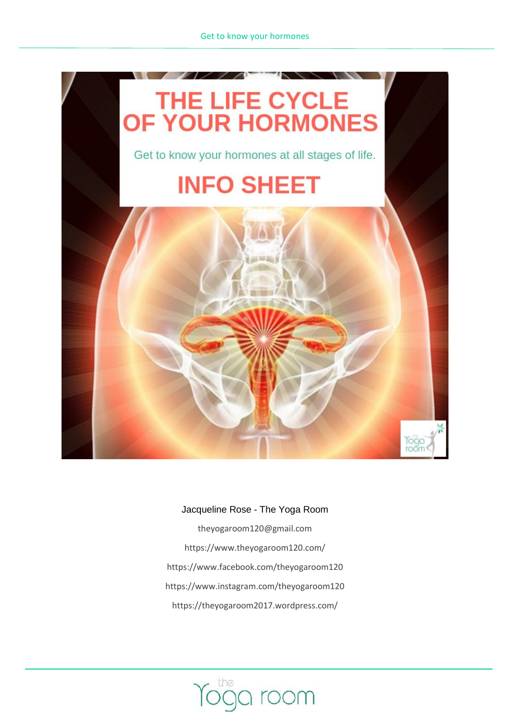

#### Jacqueline Rose - The Yoga Room

[theyogaroom120@gmail.com](mailto:theyogaroom120@gmail.com) <https://www.theyogaroom120.com/> <https://www.facebook.com/theyogaroom120> https://www.instagram.com/theyogaroom120 <https://theyogaroom2017.wordpress.com/>

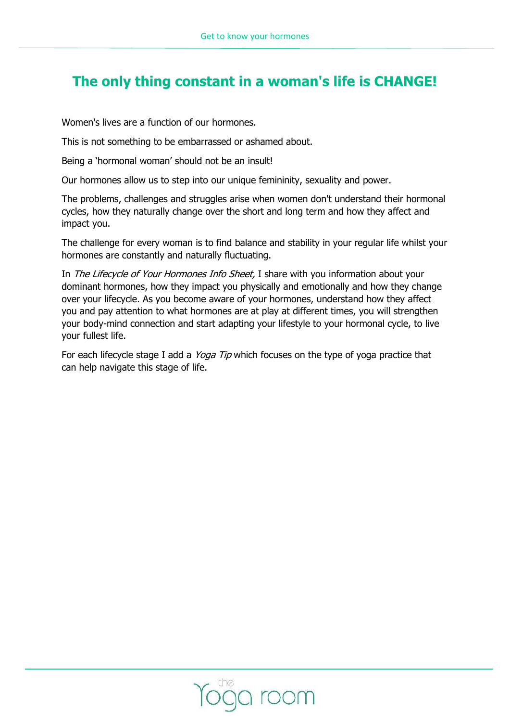# **The only thing constant in a woman's life is CHANGE!**

Women's lives are a function of our hormones.

This is not something to be embarrassed or ashamed about.

Being a 'hormonal woman' should not be an insult!

Our hormones allow us to step into our unique femininity, sexuality and power.

The problems, challenges and struggles arise when women don't understand their hormonal cycles, how they naturally change over the short and long term and how they affect and impact you.

The challenge for every woman is to find balance and stability in your regular life whilst your hormones are constantly and naturally fluctuating.

In The Lifecycle of Your Hormones Info Sheet, I share with you information about your dominant hormones, how they impact you physically and emotionally and how they change over your lifecycle. As you become aware of your hormones, understand how they affect you and pay attention to what hormones are at play at different times, you will strengthen your body-mind connection and start adapting your lifestyle to your hormonal cycle, to live your fullest life.

For each lifecycle stage I add a *Yoga Tip* which focuses on the type of yoga practice that can help navigate this stage of life.

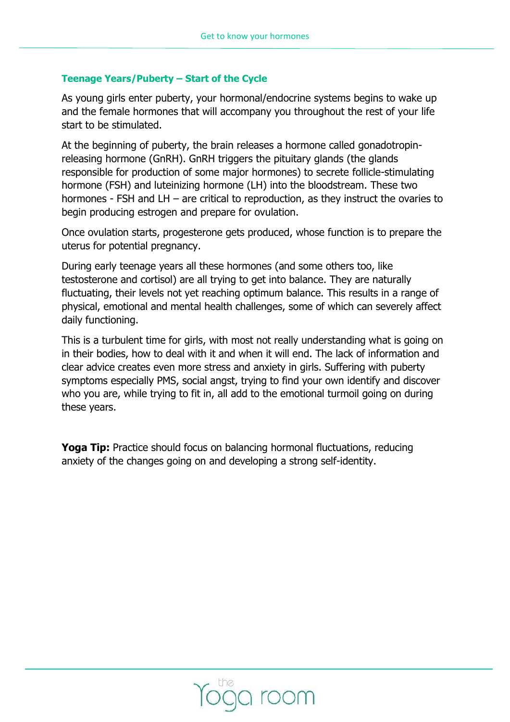# **Teenage Years/Puberty – Start of the Cycle**

As young girls enter puberty, your hormonal/endocrine systems begins to wake up and the female hormones that will accompany you throughout the rest of your life start to be stimulated.

At the beginning of puberty, the brain releases a hormone called [gonadotropin](https://en.wikipedia.org/wiki/Gonadotropin-releasing_hormone)[releasing hormone \(GnRH\).](https://en.wikipedia.org/wiki/Gonadotropin-releasing_hormone) GnRH triggers the pituitary glands (the glands responsible for production of some major hormones) to secrete [follicle-stimulating](https://en.wikipedia.org/wiki/Follicle-stimulating_hormone)  [hormone \(FSH\)](https://en.wikipedia.org/wiki/Follicle-stimulating_hormone) and [luteinizing hormone \(LH\)](https://en.wikipedia.org/wiki/Luteinizing_hormone) into the bloodstream. These two hormones - FSH and LH – are critical to reproduction, as they instruct the ovaries to begin producing estrogen and prepare for ovulation.

Once ovulation starts, progesterone gets produced, whose function is to prepare the uterus for potential pregnancy.

During early teenage years all these hormones (and some others too, like testosterone and cortisol) are all trying to get into balance. They are naturally fluctuating, their levels not yet reaching optimum balance. This results in a range of physical, emotional and mental health challenges, some of which can severely affect daily functioning.

This is a turbulent time for girls, with most not really understanding what is going on in their bodies, how to deal with it and when it will end. The lack of information and clear advice creates even more stress and anxiety in girls. Suffering with puberty symptoms especially PMS, social angst, trying to find your own identify and discover who you are, while trying to fit in, all add to the emotional turmoil going on during these years.

**Yoga Tip:** Practice should focus on balancing hormonal fluctuations, reducing anxiety of the changes going on and developing a strong self-identity.

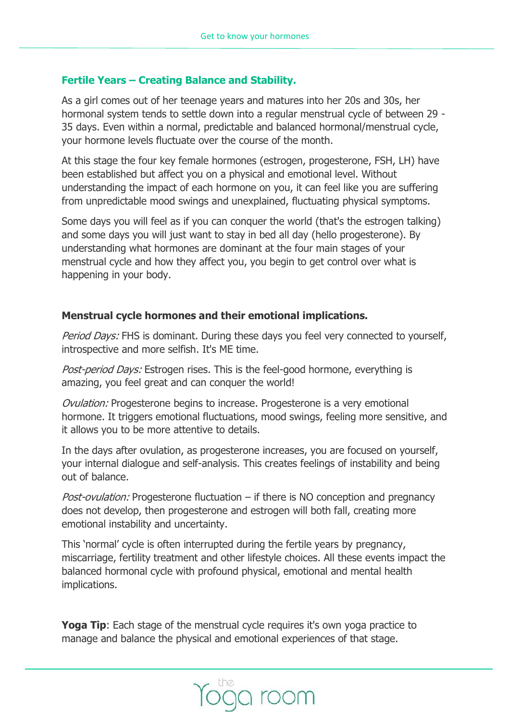# **Fertile Years – Creating Balance and Stability.**

As a girl comes out of her teenage years and matures into her 20s and 30s, her hormonal system tends to settle down into a regular menstrual cycle of between 29 - 35 days. Even within a normal, predictable and balanced hormonal/menstrual cycle, your hormone levels fluctuate over the course of the month.

At this stage the four key female hormones (estrogen, progesterone, FSH, LH) have been established but affect you on a physical and emotional level. Without understanding the impact of each hormone on you, it can feel like you are suffering from unpredictable mood swings and unexplained, fluctuating physical symptoms.

Some days you will feel as if you can conquer the world (that's the estrogen talking) and some days you will just want to stay in bed all day (hello progesterone). By understanding what hormones are dominant at the four main stages of your menstrual cycle and how they affect you, you begin to get control over what is happening in your body.

# **Menstrual cycle hormones and their emotional implications.**

Period Days: FHS is dominant. During these days you feel very connected to yourself, introspective and more selfish. It's ME time.

Post-period Days: Estrogen rises. This is the feel-good hormone, everything is amazing, you feel great and can conquer the world!

Ovulation: Progesterone begins to increase. Progesterone is a very emotional hormone. It triggers emotional fluctuations, mood swings, feeling more sensitive, and it allows you to be more attentive to details.

In the days after ovulation, as progesterone increases, you are focused on yourself, your internal dialogue and self-analysis. This creates feelings of instability and being out of balance.

*Post-ovulation:* Progesterone fluctuation – if there is NO conception and pregnancy does not develop, then progesterone and estrogen will both fall, creating more emotional instability and uncertainty.

This 'normal' cycle is often interrupted during the fertile years by pregnancy, miscarriage, fertility treatment and other lifestyle choices. All these events impact the balanced hormonal cycle with profound physical, emotional and mental health implications.

Yoga Tip: Each stage of the menstrual cycle requires it's own yoga practice to manage and balance the physical and emotional experiences of that stage.

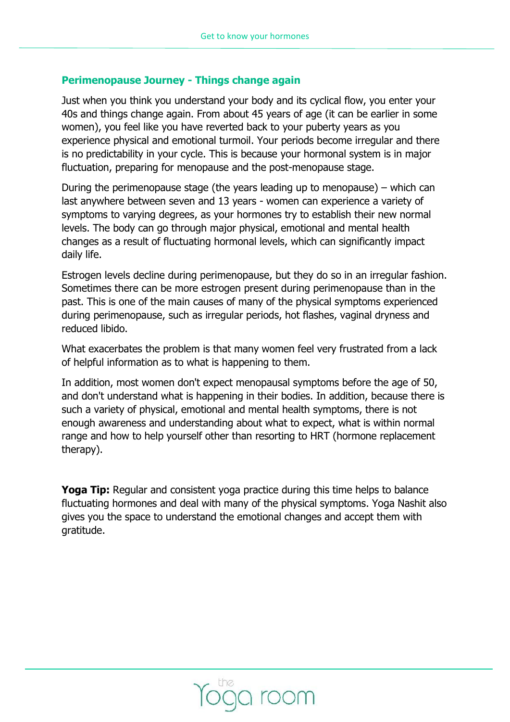### **Perimenopause Journey - Things change again**

Just when you think you understand your body and its cyclical flow, you enter your 40s and things change again. From about 45 years of age (it can be earlier in some women), you feel like you have reverted back to your puberty years as you experience physical and emotional turmoil. Your periods become irregular and there is no predictability in your cycle. This is because your hormonal system is in major fluctuation, preparing for menopause and the post-menopause stage.

During the perimenopause stage (the years leading up to menopause) – which can last anywhere between seven and 13 years - women can experience a variety of symptoms to varying degrees, as your hormones try to establish their new normal levels. The body can go through major physical, emotional and mental health changes as a result of fluctuating hormonal levels, which can significantly impact daily life.

Estrogen levels decline during perimenopause, but they do so in an irregular fashion. Sometimes there can be more estrogen present during perimenopause than in the past. This is one of the main causes of many of the physical symptoms experienced during perimenopause, such as irregular periods, hot flashes, vaginal dryness and reduced libido.

What exacerbates the problem is that many women feel very frustrated from a lack of helpful information as to what is happening to them.

In addition, most women don't expect menopausal symptoms before the age of 50, and don't understand what is happening in their bodies. In addition, because there is such a variety of physical, emotional and mental health symptoms, there is not enough awareness and understanding about what to expect, what is within normal range and how to help yourself other than resorting to HRT (hormone replacement therapy).

**Yoga Tip:** Regular and consistent yoga practice during this time helps to balance fluctuating hormones and deal with many of the physical symptoms. Yoga Nashit also gives you the space to understand the emotional changes and accept them with gratitude.

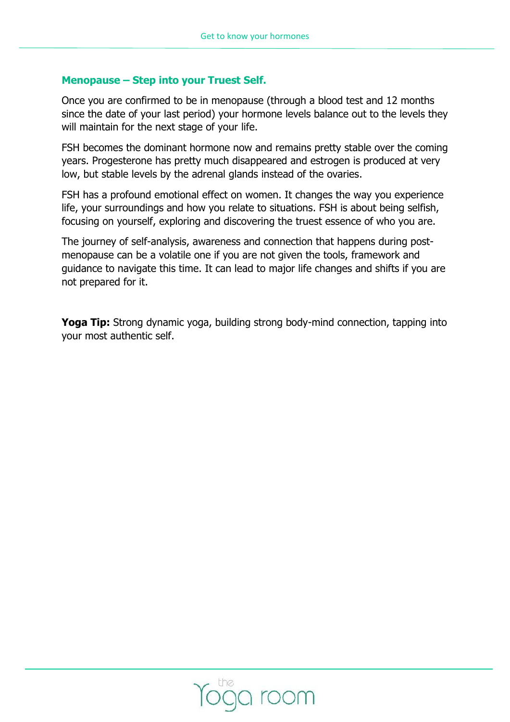### **Menopause – Step into your Truest Self.**

Once you are confirmed to be in menopause (through a blood test and 12 months since the date of your last period) your hormone levels balance out to the levels they will maintain for the next stage of your life.

FSH becomes the dominant hormone now and remains pretty stable over the coming years. Progesterone has pretty much disappeared and estrogen is produced at very low, but stable levels by the adrenal glands instead of the ovaries.

FSH has a profound emotional effect on women. It changes the way you experience life, your surroundings and how you relate to situations. FSH is about being selfish, focusing on yourself, exploring and discovering the truest essence of who you are.

The journey of self-analysis, awareness and connection that happens during postmenopause can be a volatile one if you are not given the tools, framework and guidance to navigate this time. It can lead to major life changes and shifts if you are not prepared for it.

**Yoga Tip:** Strong dynamic yoga, building strong body-mind connection, tapping into your most authentic self.